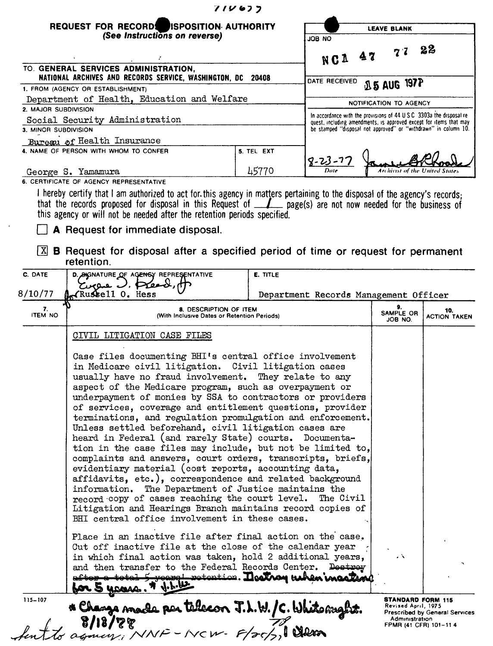|                                                                                                                                                                                                                                                                                                                                                                                                                                                                                                                                                                                                                                                                                                                                                                                                                                                                                                                                                                                                                        | 71V677          |  |                                                                                                                                       |  |  |                                                                                                  |                          |                                |
|------------------------------------------------------------------------------------------------------------------------------------------------------------------------------------------------------------------------------------------------------------------------------------------------------------------------------------------------------------------------------------------------------------------------------------------------------------------------------------------------------------------------------------------------------------------------------------------------------------------------------------------------------------------------------------------------------------------------------------------------------------------------------------------------------------------------------------------------------------------------------------------------------------------------------------------------------------------------------------------------------------------------|-----------------|--|---------------------------------------------------------------------------------------------------------------------------------------|--|--|--------------------------------------------------------------------------------------------------|--------------------------|--------------------------------|
| REQUEST FOR RECORDS ISPOSITION AUTHORITY                                                                                                                                                                                                                                                                                                                                                                                                                                                                                                                                                                                                                                                                                                                                                                                                                                                                                                                                                                               |                 |  | <b>LEAVE BLANK</b>                                                                                                                    |  |  |                                                                                                  |                          |                                |
| (See Instructions on reverse)                                                                                                                                                                                                                                                                                                                                                                                                                                                                                                                                                                                                                                                                                                                                                                                                                                                                                                                                                                                          |                 |  | ON BOL<br>NC1 47                                                                                                                      |  |  | $7^{\prime}$                                                                                     | $\mathbf{22}$            |                                |
| TO. GENERAL SERVICES ADMINISTRATION,                                                                                                                                                                                                                                                                                                                                                                                                                                                                                                                                                                                                                                                                                                                                                                                                                                                                                                                                                                                   |                 |  |                                                                                                                                       |  |  |                                                                                                  |                          |                                |
| NATIONAL ARCHIVES AND RECORDS SERVICE, WASHINGTON, DC 20408<br>1. FROM (AGENCY OR ESTABLISHMENT)                                                                                                                                                                                                                                                                                                                                                                                                                                                                                                                                                                                                                                                                                                                                                                                                                                                                                                                       |                 |  | DATE RECEIVED                                                                                                                         |  |  | <b>15 AUG 197P</b>                                                                               |                          |                                |
| Department of Health, Education and Welfare                                                                                                                                                                                                                                                                                                                                                                                                                                                                                                                                                                                                                                                                                                                                                                                                                                                                                                                                                                            |                 |  |                                                                                                                                       |  |  |                                                                                                  |                          |                                |
| 2. MAJOR SUBDIVISION<br>Social Security Administration<br>3. MINOR SUBDIVISION                                                                                                                                                                                                                                                                                                                                                                                                                                                                                                                                                                                                                                                                                                                                                                                                                                                                                                                                         |                 |  | NOTIFICATION TO AGENCY<br>In accordance with the provisions of 44 U.S.C. 3303a the disposal re-                                       |  |  |                                                                                                  |                          |                                |
|                                                                                                                                                                                                                                                                                                                                                                                                                                                                                                                                                                                                                                                                                                                                                                                                                                                                                                                                                                                                                        |                 |  | quest, including amendments, is approved except for items that may<br>be stamped "disposal not approved" or "withdrawn" in column 10. |  |  |                                                                                                  |                          |                                |
| Bureau of Health Insurance                                                                                                                                                                                                                                                                                                                                                                                                                                                                                                                                                                                                                                                                                                                                                                                                                                                                                                                                                                                             |                 |  |                                                                                                                                       |  |  |                                                                                                  |                          |                                |
| 4. NAME OF PERSON WITH WHOM TO CONFER                                                                                                                                                                                                                                                                                                                                                                                                                                                                                                                                                                                                                                                                                                                                                                                                                                                                                                                                                                                  | 5. TEL EXT      |  |                                                                                                                                       |  |  |                                                                                                  |                          |                                |
| George S. Yamamura                                                                                                                                                                                                                                                                                                                                                                                                                                                                                                                                                                                                                                                                                                                                                                                                                                                                                                                                                                                                     | 45770           |  | $8 - 23 - 7$<br>Date                                                                                                                  |  |  |                                                                                                  |                          | Archivist of the United States |
| 6. CERTIFICATE OF AGENCY REPRESENTATIVE                                                                                                                                                                                                                                                                                                                                                                                                                                                                                                                                                                                                                                                                                                                                                                                                                                                                                                                                                                                |                 |  |                                                                                                                                       |  |  |                                                                                                  |                          |                                |
| A Request for immediate disposal.<br>$\lfloor \underline{x} \rfloor$ B Request for disposal after a specified period of time or request for permanent<br>retention.<br>C. DATE<br>D. SIGNATURE OF AGENCY REPRESENTATIVE<br>Circus J. Pread                                                                                                                                                                                                                                                                                                                                                                                                                                                                                                                                                                                                                                                                                                                                                                             | <b>E. TITLE</b> |  |                                                                                                                                       |  |  |                                                                                                  |                          |                                |
| KRussell 0. Hess<br>8/10/77                                                                                                                                                                                                                                                                                                                                                                                                                                                                                                                                                                                                                                                                                                                                                                                                                                                                                                                                                                                            |                 |  | Department Records Management Officer                                                                                                 |  |  |                                                                                                  |                          |                                |
| 7.<br><b>8. DESCRIPTION OF ITEM</b><br><b>ITEM NO</b><br>(With Inclusive Dates or Retention Periods)                                                                                                                                                                                                                                                                                                                                                                                                                                                                                                                                                                                                                                                                                                                                                                                                                                                                                                                   |                 |  |                                                                                                                                       |  |  | 9.<br>SAMPLE OR<br>JOB NO.                                                                       |                          | 10.<br><b>ACTION TAKEN</b>     |
| CIVIL LITIGATION CASE FILES                                                                                                                                                                                                                                                                                                                                                                                                                                                                                                                                                                                                                                                                                                                                                                                                                                                                                                                                                                                            |                 |  |                                                                                                                                       |  |  |                                                                                                  |                          |                                |
| Case files documenting BHI's central office involvement<br>in Medicare civil litigation. Civil litigation cases<br>usually have no fraud involvement. They relate to any<br>aspect of the Medicare program, such as overpayment or<br>underpayment of monies by SSA to contractors or providers<br>of services, coverage and entitlement questions, provider<br>terminations, and regulation promulgation and enforcement.<br>Unless settled beforehand, civil litigation cases are<br>heard in Federal (and rarely State) courts. Documenta-<br>tion in the case files may include, but not be limited to,<br>complaints and answers, court orders, transcripts, briefs,<br>evidentiary material (cost reports, accounting data,<br>affidavits, etc.), correspondence and related background<br>information. The Department of Justice maintains the<br>record copy of cases reaching the court level.<br>Litigation and Hearings Branch maintains record copies of<br>BHI central office involvement in these cases. |                 |  | The Civil                                                                                                                             |  |  |                                                                                                  |                          |                                |
| Place in an inactive file after final action on the case.<br>Cut off inactive file at the close of the calendar year<br>in which final action was taken, hold 2 additional years,<br>and then transfer to the Federal Records Center. Destroy<br>after a total 5 rearge retention. <b>Neethog ushen maater</b><br>for 5 years. * J.L.ll<br>$115 - 107$                                                                                                                                                                                                                                                                                                                                                                                                                                                                                                                                                                                                                                                                 |                 |  |                                                                                                                                       |  |  | $\Delta$                                                                                         | <b>STANDARD FORM 115</b> |                                |
| * Change made per telecon J.L.W./C. White myht.<br>8/18/77<br>agnoss: NNF - NCW- F/25/5,1 Clean                                                                                                                                                                                                                                                                                                                                                                                                                                                                                                                                                                                                                                                                                                                                                                                                                                                                                                                        |                 |  |                                                                                                                                       |  |  | Revised April, 1975<br>Prescribed by General Services<br>Administration<br>FPMR (41 CFR) 101-114 |                          |                                |

 $\sim$